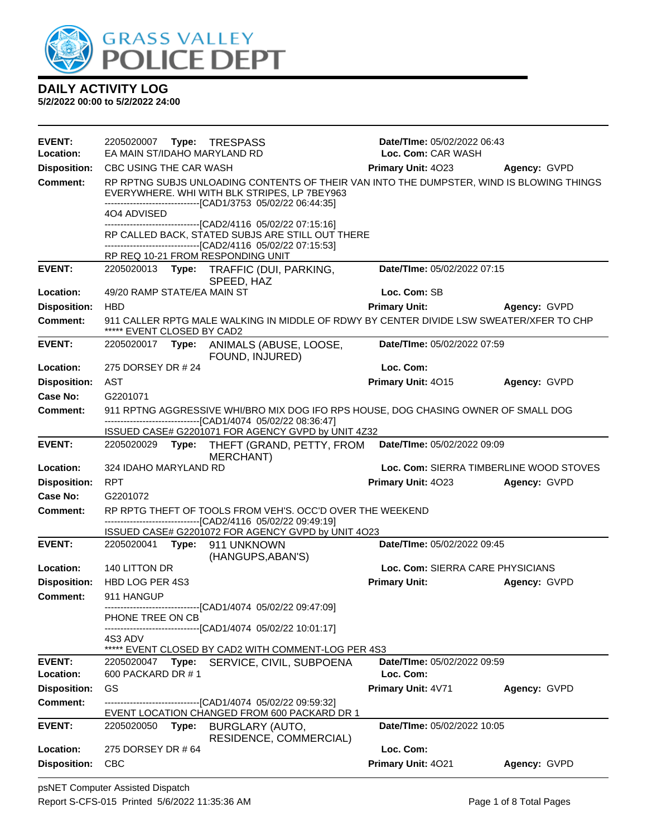

| <b>EVENT:</b><br>Location: | Date/TIme: 05/02/2022 06:43<br>2205020007    Type: TRESPASS<br>EA MAIN ST/IDAHO MARYLAND RD<br>Loc. Com: CAR WASH |                                                                                                                                                      |                                         |              |
|----------------------------|-------------------------------------------------------------------------------------------------------------------|------------------------------------------------------------------------------------------------------------------------------------------------------|-----------------------------------------|--------------|
| <b>Disposition:</b>        | CBC USING THE CAR WASH                                                                                            |                                                                                                                                                      | <b>Primary Unit: 4023</b>               | Agency: GVPD |
| <b>Comment:</b>            |                                                                                                                   | RP RPTNG SUBJS UNLOADING CONTENTS OF THEIR VAN INTO THE DUMPSTER, WIND IS BLOWING THINGS<br>EVERYWHERE. WHI WITH BLK STRIPES, LP 7BEY963             |                                         |              |
|                            | 404 ADVISED                                                                                                       | -----------------------[CAD1/3753_05/02/22_06:44:35]                                                                                                 |                                         |              |
|                            |                                                                                                                   | -------------------------------[CAD2/4116 05/02/22 07:15:16]                                                                                         |                                         |              |
|                            |                                                                                                                   | RP CALLED BACK, STATED SUBJS ARE STILL OUT THERE                                                                                                     |                                         |              |
|                            | RP REQ 10-21 FROM RESPONDING UNIT                                                                                 | -------------------------------[CAD2/4116 05/02/22 07:15:53]                                                                                         |                                         |              |
| <b>EVENT:</b>              | 2205020013                                                                                                        | Type: TRAFFIC (DUI, PARKING,                                                                                                                         | Date/TIme: 05/02/2022 07:15             |              |
|                            |                                                                                                                   | SPEED, HAZ                                                                                                                                           |                                         |              |
| Location:                  | 49/20 RAMP STATE/EA MAIN ST                                                                                       |                                                                                                                                                      | Loc. Com: SB                            |              |
| <b>Disposition:</b>        | <b>HBD</b>                                                                                                        |                                                                                                                                                      | <b>Primary Unit:</b>                    | Agency: GVPD |
| <b>Comment:</b>            | ***** EVENT CLOSED BY CAD2                                                                                        | 911 CALLER RPTG MALE WALKING IN MIDDLE OF RDWY BY CENTER DIVIDE LSW SWEATER/XFER TO CHP                                                              |                                         |              |
| <b>EVENT:</b>              | 2205020017 Type:                                                                                                  | ANIMALS (ABUSE, LOOSE,<br>FOUND, INJURED)                                                                                                            | Date/TIme: 05/02/2022 07:59             |              |
| Location:                  | 275 DORSEY DR # 24                                                                                                |                                                                                                                                                      | Loc. Com:                               |              |
| <b>Disposition:</b>        | AST                                                                                                               |                                                                                                                                                      | Primary Unit: 4015                      | Agency: GVPD |
| Case No:                   | G2201071                                                                                                          |                                                                                                                                                      |                                         |              |
| <b>Comment:</b>            |                                                                                                                   | 911 RPTNG AGGRESSIVE WHI/BRO MIX DOG IFO RPS HOUSE, DOG CHASING OWNER OF SMALL DOG<br>---------------------------------[CAD1/4074 05/02/22 08:36:47] |                                         |              |
|                            |                                                                                                                   | ISSUED CASE# G2201071 FOR AGENCY GVPD by UNIT 4Z32                                                                                                   |                                         |              |
| <b>EVENT:</b>              |                                                                                                                   | 2205020029 Type: THEFT (GRAND, PETTY, FROM<br><b>MERCHANT)</b>                                                                                       | Date/TIme: 05/02/2022 09:09             |              |
| Location:                  | 324 IDAHO MARYLAND RD                                                                                             |                                                                                                                                                      | Loc. Com: SIERRA TIMBERLINE WOOD STOVES |              |
| <b>Disposition:</b>        | <b>RPT</b>                                                                                                        |                                                                                                                                                      | Primary Unit: 4023                      | Agency: GVPD |
| Case No:                   | G2201072                                                                                                          |                                                                                                                                                      |                                         |              |
| Comment:                   |                                                                                                                   | RP RPTG THEFT OF TOOLS FROM VEH'S. OCC'D OVER THE WEEKEND<br>-------------------------------[CAD2/4116 05/02/22 09:49:19]                            |                                         |              |
|                            |                                                                                                                   | ISSUED CASE# G2201072 FOR AGENCY GVPD by UNIT 4O23                                                                                                   |                                         |              |
| <b>EVENT:</b>              | 2205020041 Type: 911 UNKNOWN                                                                                      | (HANGUPS, ABAN'S)                                                                                                                                    | Date/TIme: 05/02/2022 09:45             |              |
| Location:                  | 140 LITTON DR                                                                                                     |                                                                                                                                                      | Loc. Com: SIERRA CARE PHYSICIANS        |              |
| <b>Disposition:</b>        | HBD LOG PER 4S3                                                                                                   |                                                                                                                                                      | <b>Primary Unit:</b>                    | Agency: GVPD |
| Comment:                   | 911 HANGUP                                                                                                        |                                                                                                                                                      |                                         |              |
|                            | PHONE TREE ON CB                                                                                                  | ------------------------------[CAD1/4074 05/02/22 09:47:09]                                                                                          |                                         |              |
|                            |                                                                                                                   | ------------------------------[CAD1/4074_05/02/22 10:01:17]                                                                                          |                                         |              |
|                            | 4S3 ADV                                                                                                           | ***** EVENT CLOSED BY CAD2 WITH COMMENT-LOG PER 4S3                                                                                                  |                                         |              |
| <b>EVENT:</b>              |                                                                                                                   | 2205020047 Type: SERVICE, CIVIL, SUBPOENA                                                                                                            | Date/TIme: 05/02/2022 09:59             |              |
| Location:                  | 600 PACKARD DR #1                                                                                                 |                                                                                                                                                      | Loc. Com:                               |              |
| <b>Disposition:</b>        | GS                                                                                                                |                                                                                                                                                      | Primary Unit: 4V71                      | Agency: GVPD |
| Comment:                   |                                                                                                                   | EVENT LOCATION CHANGED FROM 600 PACKARD DR 1                                                                                                         |                                         |              |
| <b>EVENT:</b>              | 2205020050 Type:                                                                                                  | <b>BURGLARY (AUTO,</b><br>RESIDENCE, COMMERCIAL)                                                                                                     | Date/TIme: 05/02/2022 10:05             |              |
| Location:                  | 275 DORSEY DR # 64                                                                                                |                                                                                                                                                      | Loc. Com:                               |              |
| <b>Disposition:</b>        | <b>CBC</b>                                                                                                        |                                                                                                                                                      | Primary Unit: 4021                      | Agency: GVPD |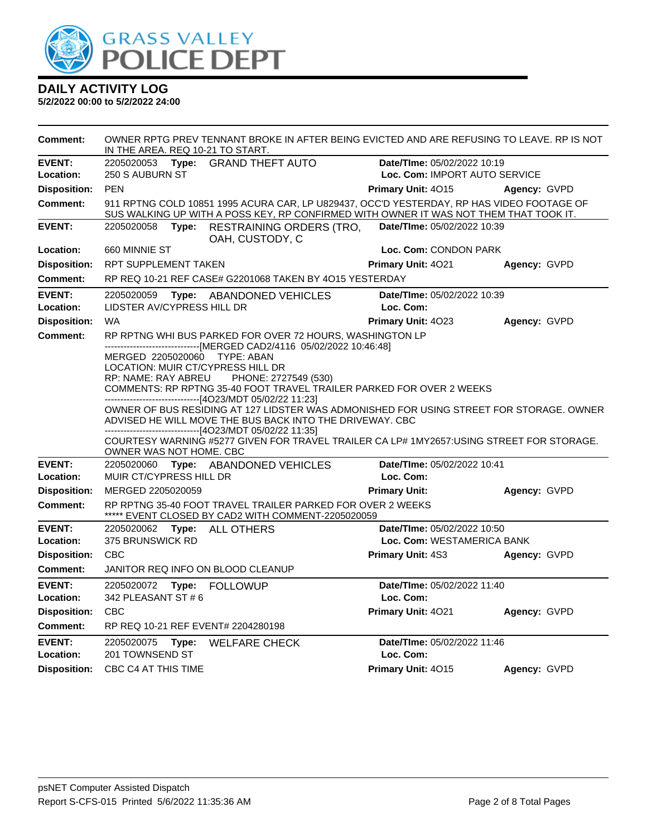

| <b>Comment:</b>            | OWNER RPTG PREV TENNANT BROKE IN AFTER BEING EVICTED AND ARE REFUSING TO LEAVE. RP IS NOT<br>IN THE AREA. REQ 10-21 TO START. |                                                                                                                                                                                                                                                                                                                                                                                                                                                                                                                                                                                                                             |                                                           |              |  |
|----------------------------|-------------------------------------------------------------------------------------------------------------------------------|-----------------------------------------------------------------------------------------------------------------------------------------------------------------------------------------------------------------------------------------------------------------------------------------------------------------------------------------------------------------------------------------------------------------------------------------------------------------------------------------------------------------------------------------------------------------------------------------------------------------------------|-----------------------------------------------------------|--------------|--|
| <b>EVENT:</b>              | 2205020053<br>Type:                                                                                                           | <b>GRAND THEFT AUTO</b>                                                                                                                                                                                                                                                                                                                                                                                                                                                                                                                                                                                                     | Date/TIme: 05/02/2022 10:19                               |              |  |
| Location:                  | 250 S AUBURN ST                                                                                                               |                                                                                                                                                                                                                                                                                                                                                                                                                                                                                                                                                                                                                             | Loc. Com: IMPORT AUTO SERVICE                             |              |  |
| <b>Disposition:</b>        | PEN                                                                                                                           |                                                                                                                                                                                                                                                                                                                                                                                                                                                                                                                                                                                                                             | <b>Primary Unit: 4015</b>                                 | Agency: GVPD |  |
| <b>Comment:</b>            |                                                                                                                               | 911 RPTNG COLD 10851 1995 ACURA CAR, LP U829437, OCC'D YESTERDAY, RP HAS VIDEO FOOTAGE OF<br>SUS WALKING UP WITH A POSS KEY, RP CONFIRMED WITH OWNER IT WAS NOT THEM THAT TOOK IT.                                                                                                                                                                                                                                                                                                                                                                                                                                          |                                                           |              |  |
| <b>EVENT:</b>              | 2205020058<br>Type:                                                                                                           | <b>RESTRAINING ORDERS (TRO,</b><br>OAH, CUSTODY, C                                                                                                                                                                                                                                                                                                                                                                                                                                                                                                                                                                          | Date/TIme: 05/02/2022 10:39                               |              |  |
| Location:                  | 660 MINNIE ST                                                                                                                 |                                                                                                                                                                                                                                                                                                                                                                                                                                                                                                                                                                                                                             | Loc. Com: CONDON PARK                                     |              |  |
| <b>Disposition:</b>        | <b>RPT SUPPLEMENT TAKEN</b>                                                                                                   |                                                                                                                                                                                                                                                                                                                                                                                                                                                                                                                                                                                                                             | <b>Primary Unit: 4021</b>                                 | Agency: GVPD |  |
| <b>Comment:</b>            |                                                                                                                               | RP REQ 10-21 REF CASE# G2201068 TAKEN BY 4O15 YESTERDAY                                                                                                                                                                                                                                                                                                                                                                                                                                                                                                                                                                     |                                                           |              |  |
| <b>EVENT:</b>              | 2205020059                                                                                                                    | Type: ABANDONED VEHICLES                                                                                                                                                                                                                                                                                                                                                                                                                                                                                                                                                                                                    | Date/TIme: 05/02/2022 10:39                               |              |  |
| Location:                  | LIDSTER AV/CYPRESS HILL DR                                                                                                    |                                                                                                                                                                                                                                                                                                                                                                                                                                                                                                                                                                                                                             | Loc. Com:                                                 |              |  |
| <b>Disposition:</b>        | <b>WA</b>                                                                                                                     |                                                                                                                                                                                                                                                                                                                                                                                                                                                                                                                                                                                                                             | Primary Unit: 4023                                        | Agency: GVPD |  |
| <b>Comment:</b>            | MERGED 2205020060<br>LOCATION: MUIR CT/CYPRESS HILL DR<br>RP: NAME: RAY ABREU<br>OWNER WAS NOT HOME. CBC                      | RP RPTNG WHI BUS PARKED FOR OVER 72 HOURS, WASHINGTON LP<br>------------------------------[MERGED CAD2/4116 05/02/2022 10:46:48]<br><b>TYPE: ABAN</b><br>PHONE: 2727549 (530)<br>COMMENTS: RP RPTNG 35-40 FOOT TRAVEL TRAILER PARKED FOR OVER 2 WEEKS<br>---------------------------[4O23/MDT 05/02/22 11:23]<br>OWNER OF BUS RESIDING AT 127 LIDSTER WAS ADMONISHED FOR USING STREET FOR STORAGE. OWNER<br>ADVISED HE WILL MOVE THE BUS BACK INTO THE DRIVEWAY. CBC<br>------------------------------[4O23/MDT 05/02/22 11:35]<br>COURTESY WARNING #5277 GIVEN FOR TRAVEL TRAILER CA LP# 1MY2657:USING STREET FOR STORAGE. |                                                           |              |  |
| <b>EVENT:</b><br>Location: | 2205020060<br>MUIR CT/CYPRESS HILL DR                                                                                         | Type: ABANDONED VEHICLES                                                                                                                                                                                                                                                                                                                                                                                                                                                                                                                                                                                                    | Date/TIme: 05/02/2022 10:41<br>Loc. Com:                  |              |  |
| <b>Disposition:</b>        | MERGED 2205020059                                                                                                             |                                                                                                                                                                                                                                                                                                                                                                                                                                                                                                                                                                                                                             | <b>Primary Unit:</b>                                      | Agency: GVPD |  |
| Comment:                   |                                                                                                                               | RP RPTNG 35-40 FOOT TRAVEL TRAILER PARKED FOR OVER 2 WEEKS<br>***** EVENT CLOSED BY CAD2 WITH COMMENT-2205020059                                                                                                                                                                                                                                                                                                                                                                                                                                                                                                            |                                                           |              |  |
| <b>EVENT:</b><br>Location: | 2205020062<br>Type:<br>375 BRUNSWICK RD                                                                                       | <b>ALL OTHERS</b>                                                                                                                                                                                                                                                                                                                                                                                                                                                                                                                                                                                                           | Date/TIme: 05/02/2022 10:50<br>Loc. Com: WESTAMERICA BANK |              |  |
| <b>Disposition:</b>        | <b>CBC</b>                                                                                                                    |                                                                                                                                                                                                                                                                                                                                                                                                                                                                                                                                                                                                                             | Primary Unit: 4S3                                         | Agency: GVPD |  |
| <b>Comment:</b>            | JANITOR REQ INFO ON BLOOD CLEANUP                                                                                             |                                                                                                                                                                                                                                                                                                                                                                                                                                                                                                                                                                                                                             |                                                           |              |  |
| <b>EVENT:</b><br>Location: | 2205020072<br>Type:<br>342 PLEASANT ST # 6                                                                                    | <b>FOLLOWUP</b>                                                                                                                                                                                                                                                                                                                                                                                                                                                                                                                                                                                                             | Date/TIme: 05/02/2022 11:40<br>Loc. Com:                  |              |  |
| <b>Disposition:</b>        | <b>CBC</b>                                                                                                                    |                                                                                                                                                                                                                                                                                                                                                                                                                                                                                                                                                                                                                             | Primary Unit: 4021                                        | Agency: GVPD |  |
| <b>Comment:</b>            | RP REQ 10-21 REF EVENT# 2204280198                                                                                            |                                                                                                                                                                                                                                                                                                                                                                                                                                                                                                                                                                                                                             |                                                           |              |  |
| <b>EVENT:</b><br>Location: | 2205020075<br>Type:<br>201 TOWNSEND ST                                                                                        | <b>WELFARE CHECK</b>                                                                                                                                                                                                                                                                                                                                                                                                                                                                                                                                                                                                        | Date/TIme: 05/02/2022 11:46<br>Loc. Com:                  |              |  |
| <b>Disposition:</b>        | CBC C4 AT THIS TIME                                                                                                           |                                                                                                                                                                                                                                                                                                                                                                                                                                                                                                                                                                                                                             | Primary Unit: 4015                                        | Agency: GVPD |  |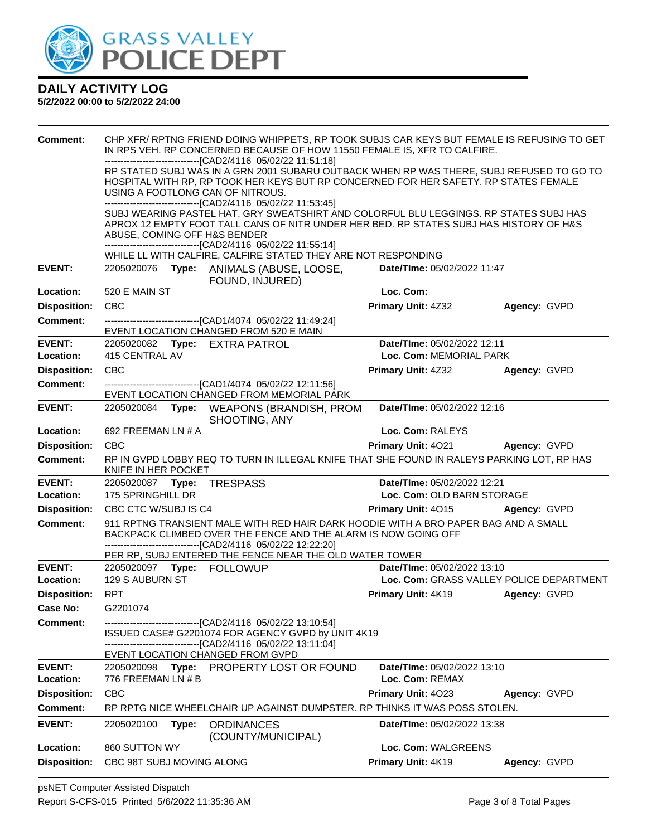

| <b>Comment:</b>     | CHP XFR/ RPTNG FRIEND DOING WHIPPETS, RP TOOK SUBJS CAR KEYS BUT FEMALE IS REFUSING TO GET<br>IN RPS VEH. RP CONCERNED BECAUSE OF HOW 11550 FEMALE IS, XFR TO CALFIRE.                                                                                                               |                                                                                                                                                                                                                                                                                                                 |                                          |                     |
|---------------------|--------------------------------------------------------------------------------------------------------------------------------------------------------------------------------------------------------------------------------------------------------------------------------------|-----------------------------------------------------------------------------------------------------------------------------------------------------------------------------------------------------------------------------------------------------------------------------------------------------------------|------------------------------------------|---------------------|
|                     | -------------------------------[CAD2/4116 05/02/22 11:51:18]<br>RP STATED SUBJ WAS IN A GRN 2001 SUBARU OUTBACK WHEN RP WAS THERE, SUBJ REFUSED TO GO TO<br>HOSPITAL WITH RP, RP TOOK HER KEYS BUT RP CONCERNED FOR HER SAFETY. RP STATES FEMALE<br>USING A FOOTLONG CAN OF NITROUS. |                                                                                                                                                                                                                                                                                                                 |                                          |                     |
|                     | ABUSE, COMING OFF H&S BENDER                                                                                                                                                                                                                                                         | -------------------------------[CAD2/4116 05/02/22 11:53:45]<br>SUBJ WEARING PASTEL HAT, GRY SWEATSHIRT AND COLORFUL BLU LEGGINGS. RP STATES SUBJ HAS<br>APROX 12 EMPTY FOOT TALL CANS OF NITR UNDER HER BED. RP STATES SUBJ HAS HISTORY OF H&S<br>-------------------------------[CAD2/4116 05/02/22 11:55:14] |                                          |                     |
|                     |                                                                                                                                                                                                                                                                                      | WHILE LL WITH CALFIRE, CALFIRE STATED THEY ARE NOT RESPONDING                                                                                                                                                                                                                                                   |                                          |                     |
| <b>EVENT:</b>       |                                                                                                                                                                                                                                                                                      | 2205020076 Type: ANIMALS (ABUSE, LOOSE,<br>FOUND, INJURED)                                                                                                                                                                                                                                                      | Date/TIme: 05/02/2022 11:47              |                     |
| Location:           | 520 E MAIN ST                                                                                                                                                                                                                                                                        |                                                                                                                                                                                                                                                                                                                 | Loc. Com:                                |                     |
| <b>Disposition:</b> | <b>CBC</b>                                                                                                                                                                                                                                                                           |                                                                                                                                                                                                                                                                                                                 | <b>Primary Unit: 4Z32</b>                | Agency: GVPD        |
| <b>Comment:</b>     |                                                                                                                                                                                                                                                                                      | --------------------------------[CAD1/4074 05/02/22 11:49:24]<br>EVENT LOCATION CHANGED FROM 520 E MAIN                                                                                                                                                                                                         |                                          |                     |
| <b>EVENT:</b>       | 2205020082 Type: EXTRA PATROL                                                                                                                                                                                                                                                        |                                                                                                                                                                                                                                                                                                                 | Date/TIme: 05/02/2022 12:11              |                     |
| Location:           | 415 CENTRAL AV                                                                                                                                                                                                                                                                       |                                                                                                                                                                                                                                                                                                                 | Loc. Com: MEMORIAL PARK                  |                     |
| <b>Disposition:</b> | CBC                                                                                                                                                                                                                                                                                  |                                                                                                                                                                                                                                                                                                                 | <b>Primary Unit: 4Z32</b>                | Agency: GVPD        |
| <b>Comment:</b>     |                                                                                                                                                                                                                                                                                      | --------------------------------[CAD1/4074 05/02/22 12:11:56]<br>EVENT LOCATION CHANGED FROM MEMORIAL PARK                                                                                                                                                                                                      |                                          |                     |
| <b>EVENT:</b>       |                                                                                                                                                                                                                                                                                      | 2205020084 Type: WEAPONS (BRANDISH, PROM<br>SHOOTING, ANY                                                                                                                                                                                                                                                       | Date/TIme: 05/02/2022 12:16              |                     |
| Location:           | 692 FREEMAN LN # A                                                                                                                                                                                                                                                                   |                                                                                                                                                                                                                                                                                                                 | Loc. Com: RALEYS                         |                     |
| <b>Disposition:</b> | <b>CBC</b>                                                                                                                                                                                                                                                                           |                                                                                                                                                                                                                                                                                                                 | Primary Unit: 4021                       | <b>Agency: GVPD</b> |
|                     |                                                                                                                                                                                                                                                                                      |                                                                                                                                                                                                                                                                                                                 |                                          |                     |
| <b>Comment:</b>     | KNIFE IN HER POCKET                                                                                                                                                                                                                                                                  | RP IN GVPD LOBBY REQ TO TURN IN ILLEGAL KNIFE THAT SHE FOUND IN RALEYS PARKING LOT, RP HAS                                                                                                                                                                                                                      |                                          |                     |
| <b>EVENT:</b>       | 2205020087    Type: TRESPASS                                                                                                                                                                                                                                                         |                                                                                                                                                                                                                                                                                                                 | Date/TIme: 05/02/2022 12:21              |                     |
| Location:           | 175 SPRINGHILL DR                                                                                                                                                                                                                                                                    |                                                                                                                                                                                                                                                                                                                 | Loc. Com: OLD BARN STORAGE               |                     |
| <b>Disposition:</b> | CBC CTC W/SUBJ IS C4                                                                                                                                                                                                                                                                 |                                                                                                                                                                                                                                                                                                                 | <b>Primary Unit: 4015</b>                | Agency: GVPD        |
| <b>Comment:</b>     |                                                                                                                                                                                                                                                                                      | 911 RPTNG TRANSIENT MALE WITH RED HAIR DARK HOODIE WITH A BRO PAPER BAG AND A SMALL<br>BACKPACK CLIMBED OVER THE FENCE AND THE ALARM IS NOW GOING OFF                                                                                                                                                           |                                          |                     |
|                     |                                                                                                                                                                                                                                                                                      | ---------------------------------[CAD2/4116 05/02/22 12:22:20]<br>PER RP, SUBJ ENTERED THE FENCE NEAR THE OLD WATER TOWER                                                                                                                                                                                       |                                          |                     |
| <b>EVENT:</b>       |                                                                                                                                                                                                                                                                                      |                                                                                                                                                                                                                                                                                                                 | Date/TIme: 05/02/2022 13:10              |                     |
| Location:           | 129 S AUBURN ST                                                                                                                                                                                                                                                                      |                                                                                                                                                                                                                                                                                                                 | Loc. Com: GRASS VALLEY POLICE DEPARTMENT |                     |
| <b>Disposition:</b> | <b>RPT</b>                                                                                                                                                                                                                                                                           |                                                                                                                                                                                                                                                                                                                 | <b>Primary Unit: 4K19</b>                | Agency: GVPD        |
| <b>Case No:</b>     | G2201074                                                                                                                                                                                                                                                                             |                                                                                                                                                                                                                                                                                                                 |                                          |                     |
| <b>Comment:</b>     |                                                                                                                                                                                                                                                                                      | -------------------------[CAD2/4116_05/02/22 13:10:54]<br>ISSUED CASE# G2201074 FOR AGENCY GVPD by UNIT 4K19                                                                                                                                                                                                    |                                          |                     |
|                     |                                                                                                                                                                                                                                                                                      | -------------------------[CAD2/4116 05/02/22 13:11:04]                                                                                                                                                                                                                                                          |                                          |                     |
| <b>EVENT:</b>       | EVENT LOCATION CHANGED FROM GVPD<br>2205020098                                                                                                                                                                                                                                       | Type: PROPERTY LOST OR FOUND                                                                                                                                                                                                                                                                                    | Date/TIme: 05/02/2022 13:10              |                     |
| Location:           | 776 FREEMAN LN # B                                                                                                                                                                                                                                                                   |                                                                                                                                                                                                                                                                                                                 | Loc. Com: REMAX                          |                     |
| <b>Disposition:</b> | <b>CBC</b>                                                                                                                                                                                                                                                                           |                                                                                                                                                                                                                                                                                                                 | Primary Unit: 4023                       | Agency: GVPD        |
| <b>Comment:</b>     |                                                                                                                                                                                                                                                                                      | RP RPTG NICE WHEELCHAIR UP AGAINST DUMPSTER. RP THINKS IT WAS POSS STOLEN.                                                                                                                                                                                                                                      |                                          |                     |
| <b>EVENT:</b>       | 2205020100<br>Type:                                                                                                                                                                                                                                                                  | <b>ORDINANCES</b>                                                                                                                                                                                                                                                                                               | Date/TIme: 05/02/2022 13:38              |                     |
| Location:           | 860 SUTTON WY                                                                                                                                                                                                                                                                        | (COUNTY/MUNICIPAL)                                                                                                                                                                                                                                                                                              | Loc. Com: WALGREENS                      |                     |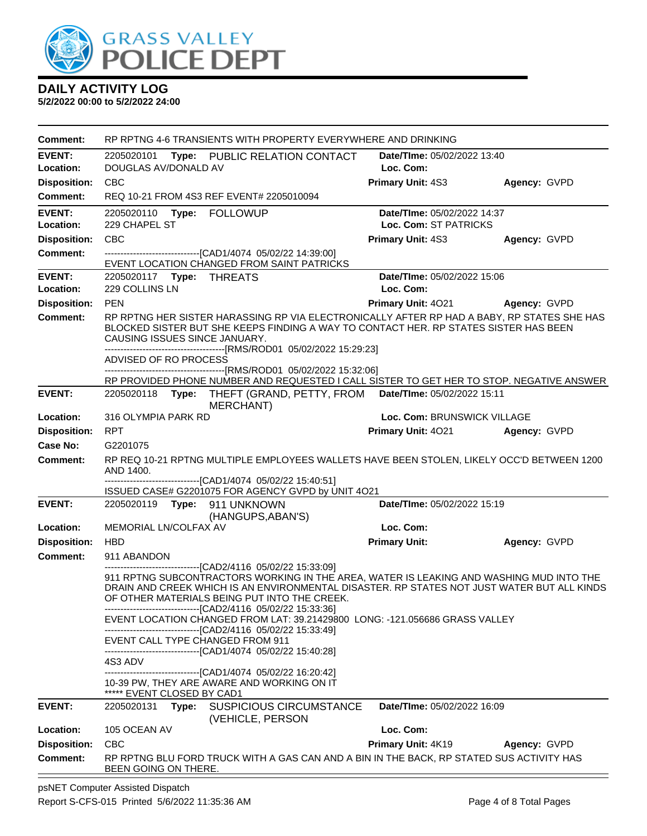

**5/2/2022 00:00 to 5/2/2022 24:00**

| Comment:            | RP RPTNG 4-6 TRANSIENTS WITH PROPERTY EVERYWHERE AND DRINKING                                                                                                                                                                                                                                        |                                    |                     |  |  |
|---------------------|------------------------------------------------------------------------------------------------------------------------------------------------------------------------------------------------------------------------------------------------------------------------------------------------------|------------------------------------|---------------------|--|--|
| <b>EVENT:</b>       | 2205020101 Type: PUBLIC RELATION CONTACT                                                                                                                                                                                                                                                             | <b>Date/TIme: 05/02/2022 13:40</b> |                     |  |  |
| Location:           | DOUGLAS AV/DONALD AV                                                                                                                                                                                                                                                                                 | Loc. Com:                          |                     |  |  |
| <b>Disposition:</b> | <b>CBC</b>                                                                                                                                                                                                                                                                                           | Primary Unit: 4S3                  | Agency: GVPD        |  |  |
| <b>Comment:</b>     | REQ 10-21 FROM 4S3 REF EVENT# 2205010094                                                                                                                                                                                                                                                             |                                    |                     |  |  |
| <b>EVENT:</b>       | 2205020110 Type: FOLLOWUP                                                                                                                                                                                                                                                                            | Date/TIme: 05/02/2022 14:37        |                     |  |  |
| Location:           | 229 CHAPEL ST                                                                                                                                                                                                                                                                                        | Loc. Com: ST PATRICKS              |                     |  |  |
| <b>Disposition:</b> | <b>CBC</b>                                                                                                                                                                                                                                                                                           | Primary Unit: 4S3                  | Agency: GVPD        |  |  |
| <b>Comment:</b>     | --------------------------------[CAD1/4074 05/02/22 14:39:00]<br>EVENT LOCATION CHANGED FROM SAINT PATRICKS                                                                                                                                                                                          |                                    |                     |  |  |
| <b>EVENT:</b>       |                                                                                                                                                                                                                                                                                                      | Date/TIme: 05/02/2022 15:06        |                     |  |  |
| Location:           | 229 COLLINS LN                                                                                                                                                                                                                                                                                       | Loc. Com:                          |                     |  |  |
| <b>Disposition:</b> | <b>PEN</b>                                                                                                                                                                                                                                                                                           | <b>Primary Unit: 4021</b>          | Agency: GVPD        |  |  |
| <b>Comment:</b>     | RP RPTNG HER SISTER HARASSING RP VIA ELECTRONICALLY AFTER RP HAD A BABY, RP STATES SHE HAS<br>BLOCKED SISTER BUT SHE KEEPS FINDING A WAY TO CONTACT HER. RP STATES SISTER HAS BEEN<br>CAUSING ISSUES SINCE JANUARY.                                                                                  |                                    |                     |  |  |
|                     | --------------------------------[RMS/ROD01_05/02/2022 15:29:23]<br>ADVISED OF RO PROCESS                                                                                                                                                                                                             |                                    |                     |  |  |
|                     |                                                                                                                                                                                                                                                                                                      |                                    |                     |  |  |
| <b>EVENT:</b>       | RP PROVIDED PHONE NUMBER AND REQUESTED I CALL SISTER TO GET HER TO STOP. NEGATIVE ANSWER<br>2205020118 Type: THEFT (GRAND, PETTY, FROM Date/Time: 05/02/2022 15:11                                                                                                                                   |                                    |                     |  |  |
|                     | <b>MERCHANT)</b>                                                                                                                                                                                                                                                                                     |                                    |                     |  |  |
| Location:           | 316 OLYMPIA PARK RD                                                                                                                                                                                                                                                                                  | Loc. Com: BRUNSWICK VILLAGE        |                     |  |  |
| <b>Disposition:</b> | <b>RPT</b>                                                                                                                                                                                                                                                                                           | Primary Unit: 4021 Agency: GVPD    |                     |  |  |
| Case No:            | G2201075                                                                                                                                                                                                                                                                                             |                                    |                     |  |  |
| Comment:            | RP REQ 10-21 RPTNG MULTIPLE EMPLOYEES WALLETS HAVE BEEN STOLEN, LIKELY OCC'D BETWEEN 1200<br>AND 1400.                                                                                                                                                                                               |                                    |                     |  |  |
|                     | ------------------------------[CAD1/4074_05/02/22 15:40:51]<br>ISSUED CASE# G2201075 FOR AGENCY GVPD by UNIT 4O21                                                                                                                                                                                    |                                    |                     |  |  |
| <b>EVENT:</b>       |                                                                                                                                                                                                                                                                                                      | Date/TIme: 05/02/2022 15:19        |                     |  |  |
|                     | (HANGUPS, ABAN'S)                                                                                                                                                                                                                                                                                    |                                    |                     |  |  |
| Location:           | MEMORIAL LN/COLFAX AV                                                                                                                                                                                                                                                                                | Loc. Com:                          |                     |  |  |
| <b>Disposition:</b> | <b>HBD</b>                                                                                                                                                                                                                                                                                           | <b>Primary Unit:</b>               | Agency: GVPD        |  |  |
| <b>Comment:</b>     | 911 ABANDON<br>---------------------------------[CAD2/4116 05/02/22 15:33:09]                                                                                                                                                                                                                        |                                    |                     |  |  |
|                     | 911 RPTNG SUBCONTRACTORS WORKING IN THE AREA, WATER IS LEAKING AND WASHING MUD INTO THE<br>DRAIN AND CREEK WHICH IS AN ENVIRONMENTAL DISASTER. RP STATES NOT JUST WATER BUT ALL KINDS<br>OF OTHER MATERIALS BEING PUT INTO THE CREEK.<br>------------------------------[CAD2/4116 05/02/22 15:33:36] |                                    |                     |  |  |
|                     | EVENT LOCATION CHANGED FROM LAT: 39.21429800 LONG: -121.056686 GRASS VALLEY<br>-------------------------------[CAD2/4116 05/02/22 15:33:49]                                                                                                                                                          |                                    |                     |  |  |
|                     | EVENT CALL TYPE CHANGED FROM 911<br>-------------------------------[CAD1/4074 05/02/22 15:40:28]                                                                                                                                                                                                     |                                    |                     |  |  |
|                     | 4S3 ADV                                                                                                                                                                                                                                                                                              |                                    |                     |  |  |
|                     | ------------------------[CAD1/4074_05/02/22 16:20:42]<br>10-39 PW, THEY ARE AWARE AND WORKING ON IT<br>***** EVENT CLOSED BY CAD1                                                                                                                                                                    |                                    |                     |  |  |
| <b>EVENT:</b>       | <b>SUSPICIOUS CIRCUMSTANCE</b><br>2205020131<br>Type:<br>(VEHICLE, PERSON                                                                                                                                                                                                                            | Date/TIme: 05/02/2022 16:09        |                     |  |  |
| Location:           | 105 OCEAN AV                                                                                                                                                                                                                                                                                         | Loc. Com:                          |                     |  |  |
| <b>Disposition:</b> | CBC                                                                                                                                                                                                                                                                                                  | <b>Primary Unit: 4K19</b>          | <b>Agency: GVPD</b> |  |  |
| <b>Comment:</b>     | RP RPTNG BLU FORD TRUCK WITH A GAS CAN AND A BIN IN THE BACK, RP STATED SUS ACTIVITY HAS<br>BEEN GOING ON THERE.                                                                                                                                                                                     |                                    |                     |  |  |

psNET Computer Assisted Dispatch Report S-CFS-015 Printed 5/6/2022 11:35:36 AM Page 4 of 8 Total Pages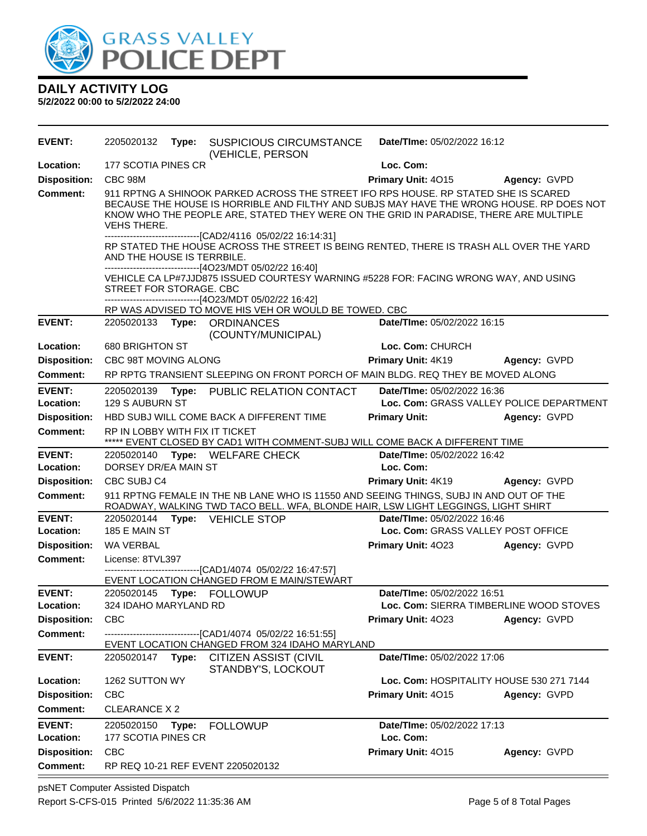

| <b>EVENT:</b>              | 2205020132                     | Type: | <b>SUSPICIOUS CIRCUMSTANCE</b><br>(VEHICLE, PERSON                                                                                                                                                                                                                                                          | Date/TIme: 05/02/2022 16:12              |                                                                                          |  |
|----------------------------|--------------------------------|-------|-------------------------------------------------------------------------------------------------------------------------------------------------------------------------------------------------------------------------------------------------------------------------------------------------------------|------------------------------------------|------------------------------------------------------------------------------------------|--|
| Location:                  | 177 SCOTIA PINES CR            |       |                                                                                                                                                                                                                                                                                                             | Loc. Com:                                |                                                                                          |  |
| <b>Disposition:</b>        | CBC 98M                        |       |                                                                                                                                                                                                                                                                                                             | Primary Unit: 4015                       | Agency: GVPD                                                                             |  |
| <b>Comment:</b>            | VEHS THERE.                    |       | 911 RPTNG A SHINOOK PARKED ACROSS THE STREET IFO RPS HOUSE. RP STATED SHE IS SCARED<br>KNOW WHO THE PEOPLE ARE, STATED THEY WERE ON THE GRID IN PARADISE, THERE ARE MULTIPLE                                                                                                                                |                                          | BECAUSE THE HOUSE IS HORRIBLE AND FILTHY AND SUBJS MAY HAVE THE WRONG HOUSE. RP DOES NOT |  |
|                            | AND THE HOUSE IS TERRBILE.     |       | -------------------------------[CAD2/4116 05/02/22 16:14:31]<br>RP STATED THE HOUSE ACROSS THE STREET IS BEING RENTED, THERE IS TRASH ALL OVER THE YARD<br>-------------------------------[4O23/MDT 05/02/22 16:40]<br>VEHICLE CA LP#7JJD875 ISSUED COURTESY WARNING #5228 FOR: FACING WRONG WAY, AND USING |                                          |                                                                                          |  |
|                            | STREET FOR STORAGE. CBC        |       | ------------------------------[4O23/MDT 05/02/22 16:42]<br>RP WAS ADVISED TO MOVE HIS VEH OR WOULD BE TOWED. CBC                                                                                                                                                                                            |                                          |                                                                                          |  |
| <b>EVENT:</b>              |                                |       | 2205020133 Type: ORDINANCES<br>(COUNTY/MUNICIPAL)                                                                                                                                                                                                                                                           | Date/TIme: 05/02/2022 16:15              |                                                                                          |  |
| Location:                  | 680 BRIGHTON ST                |       |                                                                                                                                                                                                                                                                                                             | Loc. Com: CHURCH                         |                                                                                          |  |
| <b>Disposition:</b>        | CBC 98T MOVING ALONG           |       |                                                                                                                                                                                                                                                                                                             | Primary Unit: 4K19                       | Agency: GVPD                                                                             |  |
| <b>Comment:</b>            |                                |       | RP RPTG TRANSIENT SLEEPING ON FRONT PORCH OF MAIN BLDG. REQ THEY BE MOVED ALONG                                                                                                                                                                                                                             |                                          |                                                                                          |  |
| <b>EVENT:</b>              | 2205020139                     |       | Type: PUBLIC RELATION CONTACT                                                                                                                                                                                                                                                                               | Date/TIme: 05/02/2022 16:36              |                                                                                          |  |
| Location:                  | 129 S AUBURN ST                |       |                                                                                                                                                                                                                                                                                                             |                                          | Loc. Com: GRASS VALLEY POLICE DEPARTMENT                                                 |  |
| <b>Disposition:</b>        |                                |       | HBD SUBJ WILL COME BACK A DIFFERENT TIME                                                                                                                                                                                                                                                                    | <b>Primary Unit:</b>                     | Agency: GVPD                                                                             |  |
| Comment:                   | RP IN LOBBY WITH FIX IT TICKET |       | ***** EVENT CLOSED BY CAD1 WITH COMMENT-SUBJ WILL COME BACK A DIFFERENT TIME                                                                                                                                                                                                                                |                                          |                                                                                          |  |
| <b>EVENT:</b><br>Location: | DORSEY DR/EA MAIN ST           |       | 2205020140 Type: WELFARE CHECK                                                                                                                                                                                                                                                                              | Date/TIme: 05/02/2022 16:42<br>Loc. Com: |                                                                                          |  |
| <b>Disposition:</b>        | CBC SUBJ C4                    |       |                                                                                                                                                                                                                                                                                                             | Primary Unit: 4K19                       | Agency: GVPD                                                                             |  |
| <b>Comment:</b>            |                                |       | 911 RPTNG FEMALE IN THE NB LANE WHO IS 11550 AND SEEING THINGS, SUBJ IN AND OUT OF THE<br>ROADWAY, WALKING TWD TACO BELL. WFA, BLONDE HAIR, LSW LIGHT LEGGINGS, LIGHT SHIRT                                                                                                                                 |                                          |                                                                                          |  |
| <b>EVENT:</b>              |                                |       | 2205020144 Type: VEHICLE STOP                                                                                                                                                                                                                                                                               | Date/TIme: 05/02/2022 16:46              |                                                                                          |  |
| Location:                  | 185 E MAIN ST                  |       |                                                                                                                                                                                                                                                                                                             |                                          | Loc. Com: GRASS VALLEY POST OFFICE                                                       |  |
| <b>Disposition:</b>        | WA VERBAL                      |       |                                                                                                                                                                                                                                                                                                             | Primary Unit: 4023                       | Agency: GVPD                                                                             |  |
| <b>Comment:</b>            | License: 8TVL397               |       | ----------------------[CAD1/4074 05/02/22 16:47:57]<br>EVENT LOCATION CHANGED FROM E MAIN/STEWART                                                                                                                                                                                                           |                                          |                                                                                          |  |
| <b>EVENT:</b>              | 2205020145                     |       | Type: FOLLOWUP                                                                                                                                                                                                                                                                                              | Date/TIme: 05/02/2022 16:51              |                                                                                          |  |
| Location:                  | 324 IDAHO MARYLAND RD          |       |                                                                                                                                                                                                                                                                                                             |                                          | Loc. Com: SIERRA TIMBERLINE WOOD STOVES                                                  |  |
| <b>Disposition:</b>        | <b>CBC</b>                     |       |                                                                                                                                                                                                                                                                                                             | Primary Unit: 4023                       | Agency: GVPD                                                                             |  |
| <b>Comment:</b>            |                                |       | ---------------------------------[CAD1/4074 05/02/22 16:51:55]<br>EVENT LOCATION CHANGED FROM 324 IDAHO MARYLAND                                                                                                                                                                                            |                                          |                                                                                          |  |
| <b>EVENT:</b>              | 2205020147 Type:               |       | <b>CITIZEN ASSIST (CIVIL</b><br>STANDBY'S, LOCKOUT                                                                                                                                                                                                                                                          | Date/TIme: 05/02/2022 17:06              |                                                                                          |  |
| Location:                  | 1262 SUTTON WY                 |       |                                                                                                                                                                                                                                                                                                             |                                          | Loc. Com: HOSPITALITY HOUSE 530 271 7144                                                 |  |
| <b>Disposition:</b>        | <b>CBC</b>                     |       |                                                                                                                                                                                                                                                                                                             | Primary Unit: 4015                       | Agency: GVPD                                                                             |  |
| <b>Comment:</b>            | CLEARANCE X 2                  |       |                                                                                                                                                                                                                                                                                                             |                                          |                                                                                          |  |
| <b>EVENT:</b>              | 2205020150                     | Type: | <b>FOLLOWUP</b>                                                                                                                                                                                                                                                                                             | Date/TIme: 05/02/2022 17:13              |                                                                                          |  |
| Location:                  | 177 SCOTIA PINES CR            |       |                                                                                                                                                                                                                                                                                                             | Loc. Com:                                |                                                                                          |  |
| <b>Disposition:</b>        | <b>CBC</b>                     |       |                                                                                                                                                                                                                                                                                                             | Primary Unit: 4015                       | Agency: GVPD                                                                             |  |
| <b>Comment:</b>            |                                |       | RP REQ 10-21 REF EVENT 2205020132                                                                                                                                                                                                                                                                           |                                          |                                                                                          |  |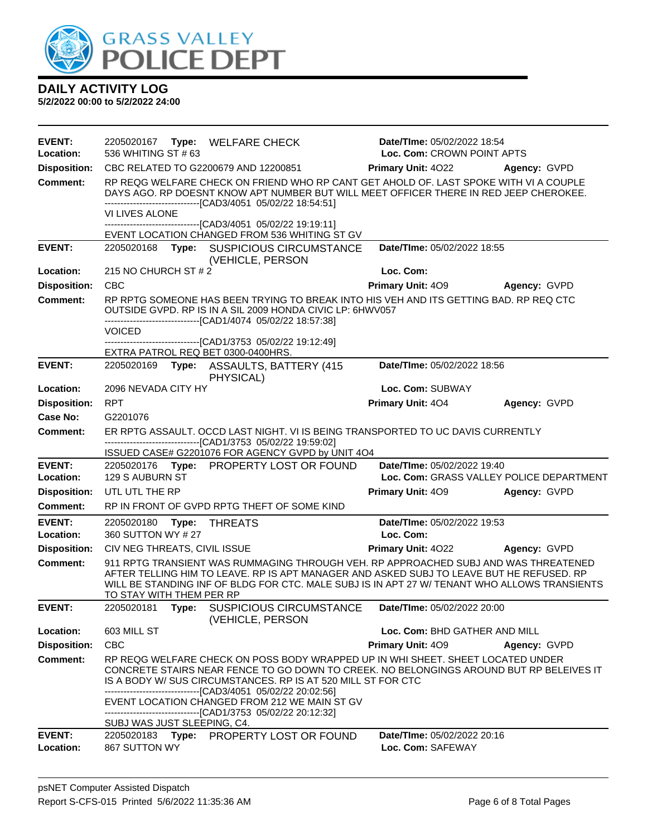

| <b>EVENT:</b><br>Location: | 2205020167 Type: WELFARE CHECK<br>536 WHITING ST #63                                                                                                                                                                                                                                                                                                        | Date/TIme: 05/02/2022 18:54<br>Loc. Com: CROWN POINT APTS |              |
|----------------------------|-------------------------------------------------------------------------------------------------------------------------------------------------------------------------------------------------------------------------------------------------------------------------------------------------------------------------------------------------------------|-----------------------------------------------------------|--------------|
| <b>Disposition:</b>        | CBC RELATED TO G2200679 AND 12200851                                                                                                                                                                                                                                                                                                                        | <b>Primary Unit: 4022</b>                                 | Agency: GVPD |
| <b>Comment:</b>            | RP REQG WELFARE CHECK ON FRIEND WHO RP CANT GET AHOLD OF. LAST SPOKE WITH VI A COUPLE<br>DAYS AGO. RP DOESNT KNOW APT NUMBER BUT WILL MEET OFFICER THERE IN RED JEEP CHEROKEE.<br>------------------------[CAD3/4051_05/02/22 18:54:51]<br>VI LIVES ALONE                                                                                                   |                                                           |              |
|                            | -------------------------------[CAD3/4051 05/02/22 19:19:11]                                                                                                                                                                                                                                                                                                |                                                           |              |
|                            | EVENT LOCATION CHANGED FROM 536 WHITING ST GV                                                                                                                                                                                                                                                                                                               |                                                           |              |
| <b>EVENT:</b>              | 2205020168<br>Type: SUSPICIOUS CIRCUMSTANCE<br>(VEHICLE, PERSON                                                                                                                                                                                                                                                                                             | Date/TIme: 05/02/2022 18:55                               |              |
| Location:                  | 215 NO CHURCH ST # 2                                                                                                                                                                                                                                                                                                                                        | Loc. Com:                                                 |              |
| <b>Disposition:</b>        | <b>CBC</b>                                                                                                                                                                                                                                                                                                                                                  | Primary Unit: 409                                         | Agency: GVPD |
| <b>Comment:</b>            | RP RPTG SOMEONE HAS BEEN TRYING TO BREAK INTO HIS VEH AND ITS GETTING BAD. RP REQ CTC<br>OUTSIDE GVPD. RP IS IN A SIL 2009 HONDA CIVIC LP: 6HWV057<br>-------------------------------[CAD1/4074_05/02/22_18:57:38]                                                                                                                                          |                                                           |              |
|                            | <b>VOICED</b>                                                                                                                                                                                                                                                                                                                                               |                                                           |              |
|                            | -------------------------------[CAD1/3753_05/02/22_19:12:49]<br>EXTRA PATROL REQ BET 0300-0400HRS.                                                                                                                                                                                                                                                          |                                                           |              |
| <b>EVENT:</b>              | 2205020169<br>Type: ASSAULTS, BATTERY (415<br>PHYSICAL)                                                                                                                                                                                                                                                                                                     | Date/TIme: 05/02/2022 18:56                               |              |
| Location:                  | 2096 NEVADA CITY HY                                                                                                                                                                                                                                                                                                                                         | Loc. Com: SUBWAY                                          |              |
| <b>Disposition:</b>        | <b>RPT</b>                                                                                                                                                                                                                                                                                                                                                  | Primary Unit: 404                                         | Agency: GVPD |
| Case No:                   | G2201076                                                                                                                                                                                                                                                                                                                                                    |                                                           |              |
| <b>Comment:</b>            | ER RPTG ASSAULT. OCCD LAST NIGHT. VI IS BEING TRANSPORTED TO UC DAVIS CURRENTLY                                                                                                                                                                                                                                                                             |                                                           |              |
|                            | -------------------------------[CAD1/3753_05/02/22_19:59:02]<br>ISSUED CASE# G2201076 FOR AGENCY GVPD by UNIT 4O4                                                                                                                                                                                                                                           |                                                           |              |
| <b>EVENT:</b>              | 2205020176 Type: PROPERTY LOST OR FOUND                                                                                                                                                                                                                                                                                                                     | Date/TIme: 05/02/2022 19:40                               |              |
| Location:                  | 129 S AUBURN ST                                                                                                                                                                                                                                                                                                                                             | Loc. Com: GRASS VALLEY POLICE DEPARTMENT                  |              |
| <b>Disposition:</b>        | UTL UTL THE RP                                                                                                                                                                                                                                                                                                                                              | Primary Unit: 409                                         | Agency: GVPD |
| <b>Comment:</b>            | RP IN FRONT OF GVPD RPTG THEFT OF SOME KIND                                                                                                                                                                                                                                                                                                                 |                                                           |              |
| <b>EVENT:</b>              | 2205020180<br>Type:<br><b>THREATS</b>                                                                                                                                                                                                                                                                                                                       | Date/TIme: 05/02/2022 19:53                               |              |
| Location:                  | 360 SUTTON WY # 27                                                                                                                                                                                                                                                                                                                                          | Loc. Com:                                                 |              |
| <b>Disposition:</b>        | CIV NEG THREATS, CIVIL ISSUE                                                                                                                                                                                                                                                                                                                                | <b>Primary Unit: 4022</b>                                 | Agency: GVPD |
| <b>Comment:</b>            | 911 RPTG TRANSIENT WAS RUMMAGING THROUGH VEH. RP APPROACHED SUBJ AND WAS THREATENED<br>AFTER TELLING HIM TO LEAVE. RP IS APT MANAGER AND ASKED SUBJ TO LEAVE BUT HE REFUSED. RP<br>WILL BE STANDING INF OF BLDG FOR CTC. MALE SUBJ IS IN APT 27 W/ TENANT WHO ALLOWS TRANSIENTS<br>TO STAY WITH THEM PER RP                                                 |                                                           |              |
| <b>EVENT:</b>              | 2205020181<br>Type:<br>SUSPICIOUS CIRCUMSTANCE<br>(VEHICLE, PERSON                                                                                                                                                                                                                                                                                          | Date/TIme: 05/02/2022 20:00                               |              |
| Location:                  | 603 MILL ST                                                                                                                                                                                                                                                                                                                                                 | Loc. Com: BHD GATHER AND MILL                             |              |
| <b>Disposition:</b>        | <b>CBC</b>                                                                                                                                                                                                                                                                                                                                                  | <b>Primary Unit: 409</b>                                  | Agency: GVPD |
| <b>Comment:</b>            | RP REQG WELFARE CHECK ON POSS BODY WRAPPED UP IN WHI SHEET. SHEET LOCATED UNDER<br>CONCRETE STAIRS NEAR FENCE TO GO DOWN TO CREEK. NO BELONGINGS AROUND BUT RP BELEIVES IT<br>IS A BODY W/ SUS CIRCUMSTANCES. RP IS AT 520 MILL ST FOR CTC<br>-------------------------------[CAD3/4051 05/02/22 20:02:56]<br>EVENT LOCATION CHANGED FROM 212 WE MAIN ST GV |                                                           |              |
|                            | -------------------------------[CAD1/3753 05/02/22 20:12:32]                                                                                                                                                                                                                                                                                                |                                                           |              |
| <b>EVENT:</b><br>Location: | SUBJ WAS JUST SLEEPING, C4.<br>2205020183 Type: PROPERTY LOST OR FOUND<br>867 SUTTON WY                                                                                                                                                                                                                                                                     | Date/TIme: 05/02/2022 20:16<br>Loc. Com: SAFEWAY          |              |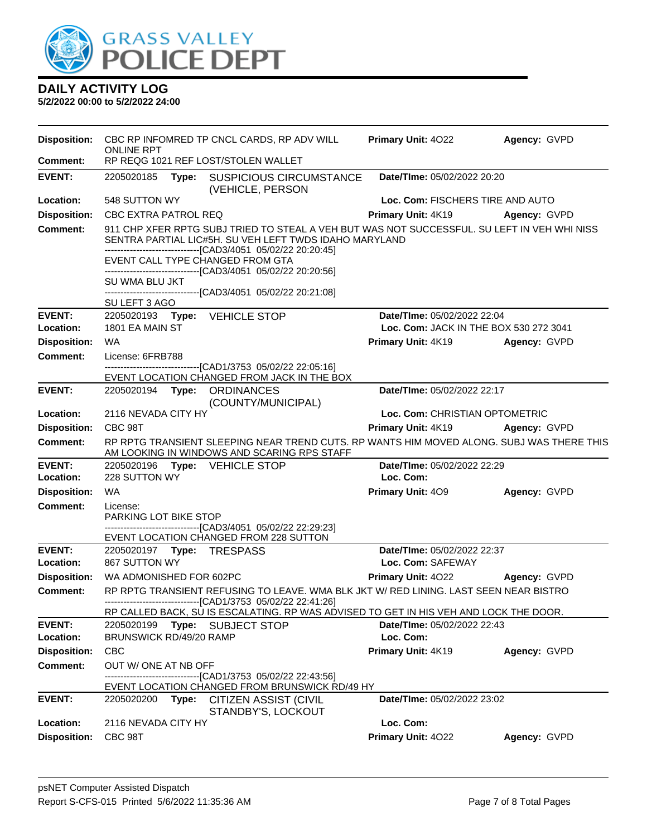

|                     | <b>Disposition:</b> CBC RP INFOMRED TP CNCL CARDS, RP ADV WILL                                                                                                                                                                  | <b>Primary Unit: 4022</b>              | Agency: GVPD        |  |  |
|---------------------|---------------------------------------------------------------------------------------------------------------------------------------------------------------------------------------------------------------------------------|----------------------------------------|---------------------|--|--|
| Comment:            | <b>ONLINE RPT</b><br>RP REQG 1021 REF LOST/STOLEN WALLET                                                                                                                                                                        |                                        |                     |  |  |
| <b>EVENT:</b>       | Date/TIme: 05/02/2022 20:20<br>2205020185<br>Type: SUSPICIOUS CIRCUMSTANCE<br>(VEHICLE, PERSON                                                                                                                                  |                                        |                     |  |  |
| Location:           | 548 SUTTON WY                                                                                                                                                                                                                   | Loc. Com: FISCHERS TIRE AND AUTO       |                     |  |  |
| <b>Disposition:</b> | <b>CBC EXTRA PATROL REQ</b>                                                                                                                                                                                                     | Primary Unit: 4K19 Agency: GVPD        |                     |  |  |
| <b>Comment:</b>     | 911 CHP XFER RPTG SUBJ TRIED TO STEAL A VEH BUT WAS NOT SUCCESSFUL. SU LEFT IN VEH WHI NISS<br>SENTRA PARTIAL LIC#5H. SU VEH LEFT TWDS IDAHO MARYLAND<br>-------------------------------[CAD3/4051 05/02/22 20:20:45]           |                                        |                     |  |  |
|                     | EVENT CALL TYPE CHANGED FROM GTA<br>----------------------[CAD3/4051 05/02/22 20:20:56]                                                                                                                                         |                                        |                     |  |  |
|                     | SU WMA BLU JKT                                                                                                                                                                                                                  |                                        |                     |  |  |
|                     | -------------------------------[CAD3/4051 05/02/22 20:21:08]<br>SU LEFT 3 AGO                                                                                                                                                   |                                        |                     |  |  |
| <b>EVENT:</b>       | 2205020193 Type: VEHICLE STOP                                                                                                                                                                                                   | Date/TIme: 05/02/2022 22:04            |                     |  |  |
| Location:           | 1801 EA MAIN ST                                                                                                                                                                                                                 | Loc. Com: JACK IN THE BOX 530 272 3041 |                     |  |  |
| <b>Disposition:</b> | WA                                                                                                                                                                                                                              | <b>Primary Unit: 4K19</b>              | Agency: GVPD        |  |  |
| <b>Comment:</b>     | License: 6FRB788<br>-------------------------------[CAD1/3753_05/02/22_22:05:16]                                                                                                                                                |                                        |                     |  |  |
|                     | EVENT LOCATION CHANGED FROM JACK IN THE BOX                                                                                                                                                                                     |                                        |                     |  |  |
| <b>EVENT:</b>       | 2205020194 Type: ORDINANCES<br>(COUNTY/MUNICIPAL)                                                                                                                                                                               | Date/TIme: 05/02/2022 22:17            |                     |  |  |
| Location:           | 2116 NEVADA CITY HY                                                                                                                                                                                                             | Loc. Com: CHRISTIAN OPTOMETRIC         |                     |  |  |
| <b>Disposition:</b> | CBC 98T                                                                                                                                                                                                                         | Primary Unit: 4K19                     | <b>Agency: GVPD</b> |  |  |
| <b>Comment:</b>     | RP RPTG TRANSIENT SLEEPING NEAR TREND CUTS. RP WANTS HIM MOVED ALONG. SUBJ WAS THERE THIS<br>AM LOOKING IN WINDOWS AND SCARING RPS STAFF                                                                                        |                                        |                     |  |  |
| <b>EVENT:</b>       | 2205020196 Type: VEHICLE STOP                                                                                                                                                                                                   | Date/TIme: 05/02/2022 22:29            |                     |  |  |
| Location:           | 228 SUTTON WY                                                                                                                                                                                                                   | Loc. Com:                              |                     |  |  |
| <b>Disposition:</b> | WA                                                                                                                                                                                                                              | <b>Primary Unit: 409</b>               | Agency: GVPD        |  |  |
| <b>Comment:</b>     | License:<br>PARKING LOT BIKE STOP<br>-------------------------------[CAD3/4051 05/02/22 22:29:23]                                                                                                                               |                                        |                     |  |  |
|                     | EVENT LOCATION CHANGED FROM 228 SUTTON                                                                                                                                                                                          |                                        |                     |  |  |
| <b>EVENT:</b>       |                                                                                                                                                                                                                                 | Date/TIme: 05/02/2022 22:37            |                     |  |  |
| Location:           | 867 SUTTON WY                                                                                                                                                                                                                   | Loc. Com: SAFEWAY                      |                     |  |  |
| <b>Disposition:</b> | WA ADMONISHED FOR 602PC                                                                                                                                                                                                         | Primary Unit: 4022                     | Agency: GVPD        |  |  |
| <b>Comment:</b>     | RP RPTG TRANSIENT REFUSING TO LEAVE. WMA BLK JKT W/ RED LINING. LAST SEEN NEAR BISTRO<br>----------------[CAD1/3753 05/02/22 22:41:26]<br>RP CALLED BACK, SU IS ESCALATING. RP WAS ADVISED TO GET IN HIS VEH AND LOCK THE DOOR. |                                        |                     |  |  |
| <b>EVENT:</b>       | Type:<br><b>SUBJECT STOP</b><br>2205020199                                                                                                                                                                                      | Date/TIme: 05/02/2022 22:43            |                     |  |  |
| Location:           | BRUNSWICK RD/49/20 RAMP                                                                                                                                                                                                         | Loc. Com:                              |                     |  |  |
| <b>Disposition:</b> | <b>CBC</b>                                                                                                                                                                                                                      | Primary Unit: 4K19                     | Agency: GVPD        |  |  |
| <b>Comment:</b>     | OUT W/ ONE AT NB OFF                                                                                                                                                                                                            |                                        |                     |  |  |
|                     | ------------------------[CAD1/3753_05/02/22_22:43:56]<br>EVENT LOCATION CHANGED FROM BRUNSWICK RD/49 HY                                                                                                                         |                                        |                     |  |  |
| <b>EVENT:</b>       | 2205020200<br>Type:<br><b>CITIZEN ASSIST (CIVIL</b><br>STANDBY'S, LOCKOUT                                                                                                                                                       | Date/TIme: 05/02/2022 23:02            |                     |  |  |
| Location:           | 2116 NEVADA CITY HY                                                                                                                                                                                                             | Loc. Com:                              |                     |  |  |
| <b>Disposition:</b> | CBC 98T                                                                                                                                                                                                                         | Primary Unit: 4022                     | Agency: GVPD        |  |  |